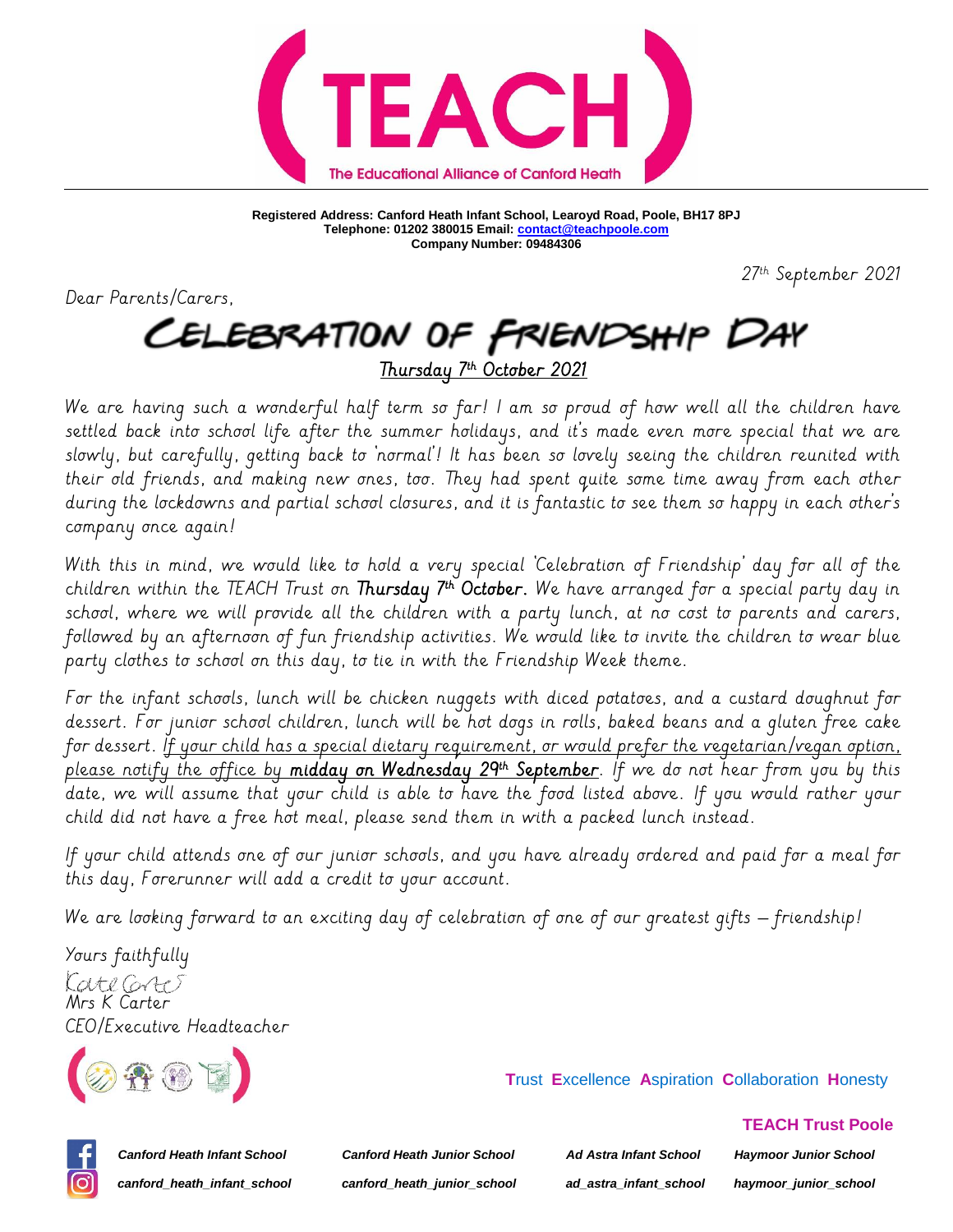

**Registered Address: Canford Heath Infant School, Learoyd Road, Poole, BH17 8PJ Telephone: 01202 380015 Email[: contact@teachpoole.com](mailto:contact@teachpoole.com) Company Number: 09484306**

27 th September 2021

Dear Parents/Carers,

## CELEBRATION OF FRIENDSHIP DAY <u>Thursday 7th October 2021</u>

We are having such a wonderful half term so far! I am so proud of how well all the children have settled back into school life after the summer holidays, and it's made even more special that we are slowly, but carefully, getting back to 'normal'! It has been so lovely seeing the children reunited with their old friends, and making new ones, too. They had spent quite some time away from each other during the lockdowns and partial school closures, and it is fantastic to see them so happy in each other's company once again!

With this in mind, we would like to hold a very special 'Celebration of Friendship' day for all of the children within the IEACH Trust on **Thursday 7th October.** We have arranged for a special party day in school, where we will provide all the children with a party lunch, at no cost to parents and carers, followed by an afternoon of fun friendship activities. We would like to invite the children to wear blue party clothes to school on this day, to tie in with the Friendship Week theme.

For the infant schools, lunch will be chicken nuggets with diced potatoes, and a custard doughnut for dessert. For junior school children, lunch will be hot dogs in rolls, baked beans and a gluten free cake for dessert. <u>If your child has a special dietary requirement, or would prefer the vegetarian/vegan option,</u> please notify the office by **midday on Wednesday 29th September**. If we do not hear from you by this date, we will assume that your child is able to have the food listed above. If you would rather your child did not have a free hot meal, please send them in with a packed lunch instead.

If your child attends one of our junior schools, and you have already ordered and paid for a meal for this day, Forerunner will add a credit to your account.

We are looking forward to an exciting day of celebration of one of our greatest gifts - friendship!

Yours faithfully LateGrt) Mrs K Carter CEO/Executive Headteacher



 **T**rust **E**xcellence **A**spiration **C**ollaboration **H**onesty



*Canford Heath Infant School Canford Heath Junior School Ad Astra Infant School Haymoor Junior School canford\_heath\_infant\_school canford\_heath\_junior\_school ad\_astra\_infant\_school haymoor\_junior\_school*

 **TEACH Trust Poole**